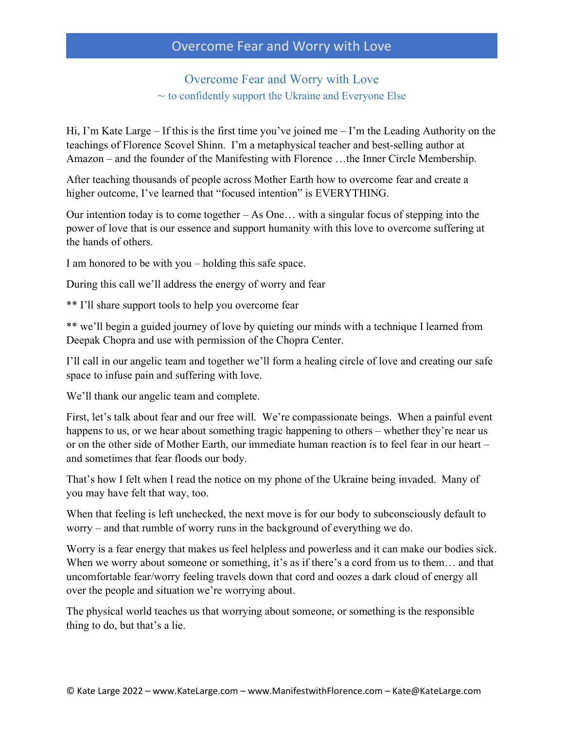#### Overcome Fear and Worry with Love  $\sim$  to confidently support the Ukraine and Everyone Else

Hi, I'm Kate Large – If this is the first time you've joined me – I'm the Leading Authority on the teachings of Florence Scovel Shinn. I'm a metaphysical teacher and best-selling author at Amazon – and the founder of the Manifesting with Florence …the Inner Circle Membership.

After teaching thousands of people across Mother Earth how to overcome fear and create a higher outcome, I've learned that "focused intention" is EVERYTHING.

Our intention today is to come together – As One… with a singular focus of stepping into the power of love that is our essence and support humanity with this love to overcome suffering at the hands of others.

I am honored to be with you – holding this safe space.

During this call we'll address the energy of worry and fear

\*\* I'll share support tools to help you overcome fear

\*\* we'll begin a guided journey of love by quieting our minds with a technique I learned from Deepak Chopra and use with permission of the Chopra Center.

I'll call in our angelic team and together we'll form a healing circle of love and creating our safe space to infuse pain and suffering with love.

We'll thank our angelic team and complete.

First, let's talk about fear and our free will. We're compassionate beings. When a painful event happens to us, or we hear about something tragic happening to others – whether they're near us or on the other side of Mother Earth, our immediate human reaction is to feel fear in our heart – and sometimes that fear floods our body.

That's how I felt when I read the notice on my phone of the Ukraine being invaded. Many of you may have felt that way, too.

When that feeling is left unchecked, the next move is for our body to subconsciously default to worry – and that rumble of worry runs in the background of everything we do.

Worry is a fear energy that makes us feel helpless and powerless and it can make our bodies sick. When we worry about someone or something, it's as if there's a cord from us to them... and that uncomfortable fear/worry feeling travels down that cord and oozes a dark cloud of energy all over the people and situation we're worrying about.

The physical world teaches us that worrying about someone, or something is the responsible thing to do, but that's a lie.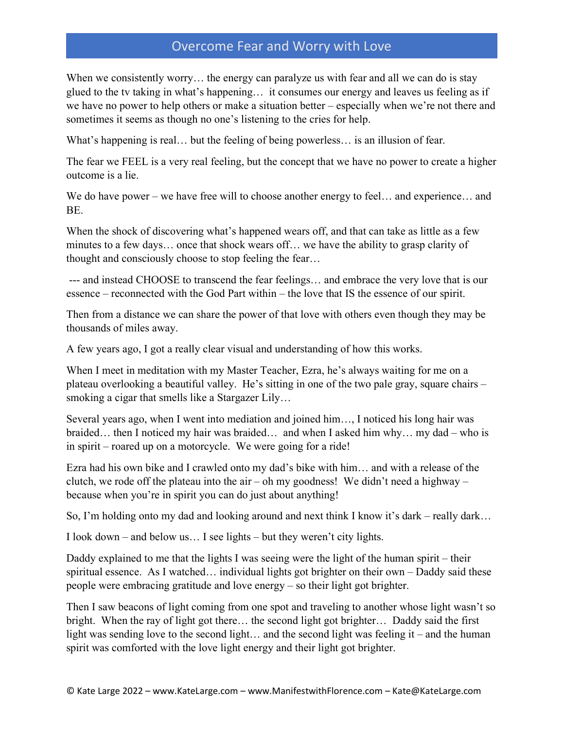When we consistently worry... the energy can paralyze us with fear and all we can do is stay glued to the tv taking in what's happening… it consumes our energy and leaves us feeling as if we have no power to help others or make a situation better – especially when we're not there and sometimes it seems as though no one's listening to the cries for help.

What's happening is real... but the feeling of being powerless... is an illusion of fear.

The fear we FEEL is a very real feeling, but the concept that we have no power to create a higher outcome is a lie.

We do have power – we have free will to choose another energy to feel... and experience... and BE.

When the shock of discovering what's happened wears off, and that can take as little as a few minutes to a few days… once that shock wears off… we have the ability to grasp clarity of thought and consciously choose to stop feeling the fear…

--- and instead CHOOSE to transcend the fear feelings… and embrace the very love that is our essence – reconnected with the God Part within – the love that IS the essence of our spirit.

Then from a distance we can share the power of that love with others even though they may be thousands of miles away.

A few years ago, I got a really clear visual and understanding of how this works.

When I meet in meditation with my Master Teacher, Ezra, he's always waiting for me on a plateau overlooking a beautiful valley. He's sitting in one of the two pale gray, square chairs – smoking a cigar that smells like a Stargazer Lily…

Several years ago, when I went into mediation and joined him…, I noticed his long hair was braided… then I noticed my hair was braided… and when I asked him why… my dad – who is in spirit – roared up on a motorcycle. We were going for a ride!

Ezra had his own bike and I crawled onto my dad's bike with him… and with a release of the clutch, we rode off the plateau into the air – oh my goodness! We didn't need a highway – because when you're in spirit you can do just about anything!

So, I'm holding onto my dad and looking around and next think I know it's dark – really dark…

I look down – and below us… I see lights – but they weren't city lights.

Daddy explained to me that the lights I was seeing were the light of the human spirit – their spiritual essence. As I watched… individual lights got brighter on their own – Daddy said these people were embracing gratitude and love energy – so their light got brighter.

Then I saw beacons of light coming from one spot and traveling to another whose light wasn't so bright. When the ray of light got there… the second light got brighter… Daddy said the first light was sending love to the second light… and the second light was feeling it – and the human spirit was comforted with the love light energy and their light got brighter.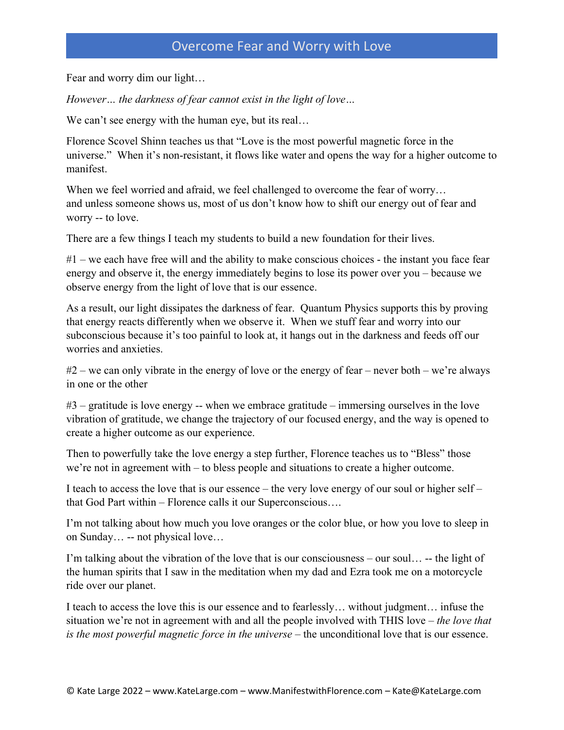Fear and worry dim our light…

*However… the darkness of fear cannot exist in the light of love…*

We can't see energy with the human eye, but its real...

Florence Scovel Shinn teaches us that "Love is the most powerful magnetic force in the universe." When it's non-resistant, it flows like water and opens the way for a higher outcome to manifest.

When we feel worried and afraid, we feel challenged to overcome the fear of worry... and unless someone shows us, most of us don't know how to shift our energy out of fear and worry -- to love.

There are a few things I teach my students to build a new foundation for their lives.

#1 – we each have free will and the ability to make conscious choices - the instant you face fear energy and observe it, the energy immediately begins to lose its power over you – because we observe energy from the light of love that is our essence.

As a result, our light dissipates the darkness of fear. Quantum Physics supports this by proving that energy reacts differently when we observe it. When we stuff fear and worry into our subconscious because it's too painful to look at, it hangs out in the darkness and feeds off our worries and anxieties.

 $\#2$  – we can only vibrate in the energy of love or the energy of fear – never both – we're always in one or the other

 $#3$  – gratitude is love energy -- when we embrace gratitude – immersing ourselves in the love vibration of gratitude, we change the trajectory of our focused energy, and the way is opened to create a higher outcome as our experience.

Then to powerfully take the love energy a step further, Florence teaches us to "Bless" those we're not in agreement with – to bless people and situations to create a higher outcome.

I teach to access the love that is our essence – the very love energy of our soul or higher self – that God Part within – Florence calls it our Superconscious….

I'm not talking about how much you love oranges or the color blue, or how you love to sleep in on Sunday… -- not physical love…

I'm talking about the vibration of the love that is our consciousness – our soul… -- the light of the human spirits that I saw in the meditation when my dad and Ezra took me on a motorcycle ride over our planet.

I teach to access the love this is our essence and to fearlessly… without judgment… infuse the situation we're not in agreement with and all the people involved with THIS love – *the love that is the most powerful magnetic force in the universe* – the unconditional love that is our essence.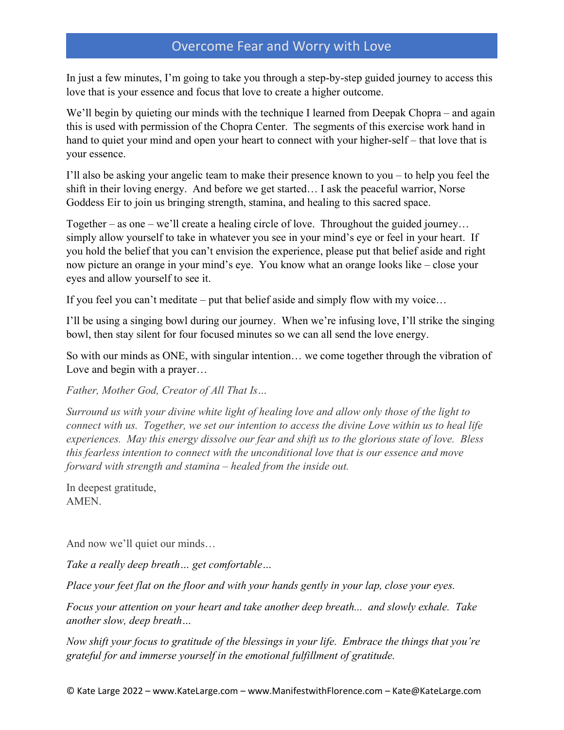In just a few minutes, I'm going to take you through a step-by-step guided journey to access this love that is your essence and focus that love to create a higher outcome.

We'll begin by quieting our minds with the technique I learned from Deepak Chopra – and again this is used with permission of the Chopra Center. The segments of this exercise work hand in hand to quiet your mind and open your heart to connect with your higher-self – that love that is your essence.

I'll also be asking your angelic team to make their presence known to you – to help you feel the shift in their loving energy. And before we get started… I ask the peaceful warrior, Norse Goddess Eir to join us bringing strength, stamina, and healing to this sacred space.

Together – as one – we'll create a healing circle of love. Throughout the guided journey... simply allow yourself to take in whatever you see in your mind's eye or feel in your heart. If you hold the belief that you can't envision the experience, please put that belief aside and right now picture an orange in your mind's eye. You know what an orange looks like – close your eyes and allow yourself to see it.

If you feel you can't meditate – put that belief aside and simply flow with my voice…

I'll be using a singing bowl during our journey. When we're infusing love, I'll strike the singing bowl, then stay silent for four focused minutes so we can all send the love energy.

So with our minds as ONE, with singular intention… we come together through the vibration of Love and begin with a prayer…

*Father, Mother God, Creator of All That Is…*

*Surround us with your divine white light of healing love and allow only those of the light to connect with us. Together, we set our intention to access the divine Love within us to heal life experiences. May this energy dissolve our fear and shift us to the glorious state of love. Bless this fearless intention to connect with the unconditional love that is our essence and move forward with strength and stamina – healed from the inside out.*

In deepest gratitude, AMEN.

And now we'll quiet our minds…

*Take a really deep breath… get comfortable…* 

*Place your feet flat on the floor and with your hands gently in your lap, close your eyes.*

*Focus your attention on your heart and take another deep breath... and slowly exhale. Take another slow, deep breath…*

*Now shift your focus to gratitude of the blessings in your life. Embrace the things that you're grateful for and immerse yourself in the emotional fulfillment of gratitude.*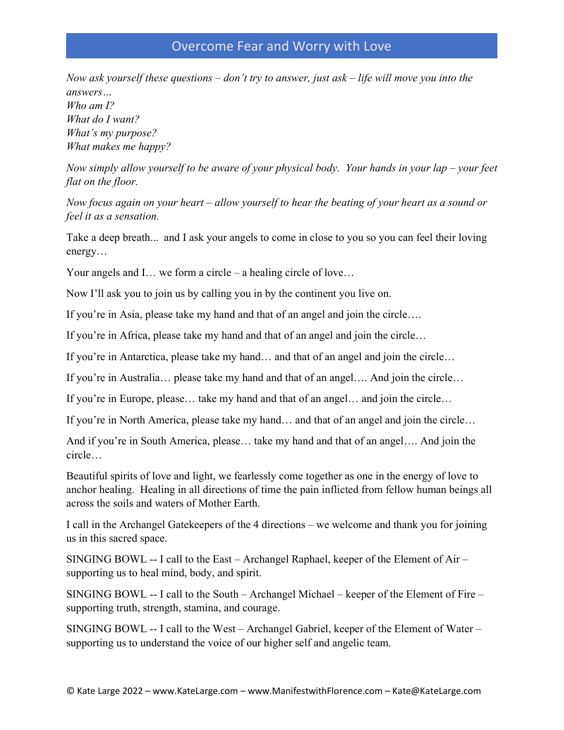*Now ask yourself these questions – don't try to answer, just ask – life will move you into the answers… Who am I? What do I want? What's my purpose? What makes me happy?*

*Now simply allow yourself to be aware of your physical body. Your hands in your lap – your feet flat on the floor.*

*Now focus again on your heart – allow yourself to hear the beating of your heart as a sound or feel it as a sensation.*

Take a deep breath... and I ask your angels to come in close to you so you can feel their loving energy…

Your angels and I... we form a circle – a healing circle of love...

Now I'll ask you to join us by calling you in by the continent you live on.

If you're in Asia, please take my hand and that of an angel and join the circle….

If you're in Africa, please take my hand and that of an angel and join the circle…

If you're in Antarctica, please take my hand… and that of an angel and join the circle…

If you're in Australia… please take my hand and that of an angel…. And join the circle…

If you're in Europe, please… take my hand and that of an angel… and join the circle…

If you're in North America, please take my hand… and that of an angel and join the circle…

And if you're in South America, please… take my hand and that of an angel…. And join the circle…

Beautiful spirits of love and light, we fearlessly come together as one in the energy of love to anchor healing. Healing in all directions of time the pain inflicted from fellow human beings all across the soils and waters of Mother Earth.

I call in the Archangel Gatekeepers of the 4 directions – we welcome and thank you for joining us in this sacred space.

SINGING BOWL -- I call to the East – Archangel Raphael, keeper of the Element of Air – supporting us to heal mind, body, and spirit.

SINGING BOWL -- I call to the South – Archangel Michael – keeper of the Element of Fire – supporting truth, strength, stamina, and courage.

SINGING BOWL -- I call to the West – Archangel Gabriel, keeper of the Element of Water – supporting us to understand the voice of our higher self and angelic team.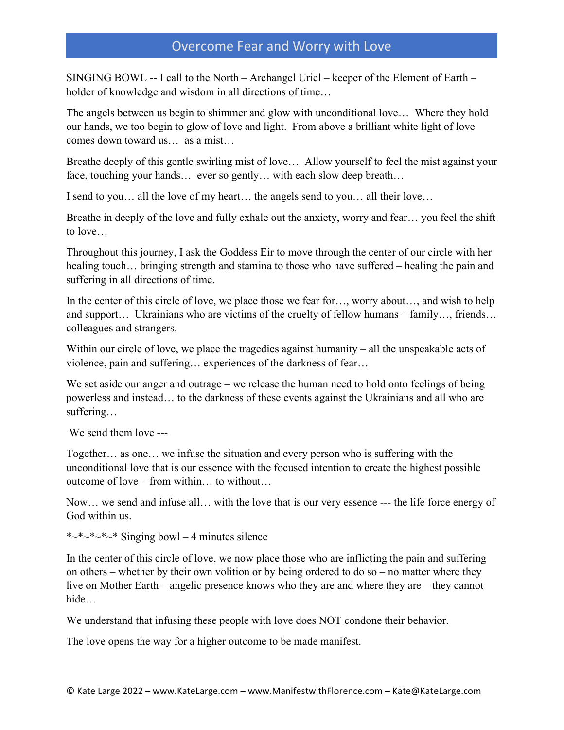SINGING BOWL -- I call to the North – Archangel Uriel – keeper of the Element of Earth – holder of knowledge and wisdom in all directions of time…

The angels between us begin to shimmer and glow with unconditional love… Where they hold our hands, we too begin to glow of love and light. From above a brilliant white light of love comes down toward us… as a mist…

Breathe deeply of this gentle swirling mist of love… Allow yourself to feel the mist against your face, touching your hands… ever so gently… with each slow deep breath…

I send to you… all the love of my heart… the angels send to you… all their love…

Breathe in deeply of the love and fully exhale out the anxiety, worry and fear… you feel the shift to love…

Throughout this journey, I ask the Goddess Eir to move through the center of our circle with her healing touch... bringing strength and stamina to those who have suffered – healing the pain and suffering in all directions of time.

In the center of this circle of love, we place those we fear for…, worry about…, and wish to help and support… Ukrainians who are victims of the cruelty of fellow humans – family…, friends… colleagues and strangers.

Within our circle of love, we place the tragedies against humanity – all the unspeakable acts of violence, pain and suffering… experiences of the darkness of fear…

We set aside our anger and outrage – we release the human need to hold onto feelings of being powerless and instead… to the darkness of these events against the Ukrainians and all who are suffering…

We send them love ---

Together… as one… we infuse the situation and every person who is suffering with the unconditional love that is our essence with the focused intention to create the highest possible outcome of love – from within… to without…

Now… we send and infuse all… with the love that is our very essence --- the life force energy of God within us.

\* $~*~*~*~*~*~$  Singing bowl – 4 minutes silence

In the center of this circle of love, we now place those who are inflicting the pain and suffering on others – whether by their own volition or by being ordered to do so – no matter where they live on Mother Earth – angelic presence knows who they are and where they are – they cannot hide…

We understand that infusing these people with love does NOT condone their behavior.

The love opens the way for a higher outcome to be made manifest.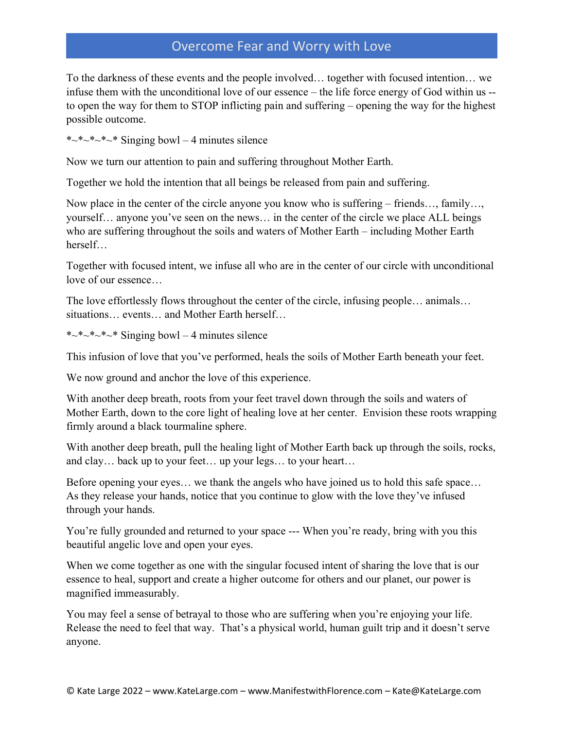To the darkness of these events and the people involved… together with focused intention… we infuse them with the unconditional love of our essence – the life force energy of God within us - to open the way for them to STOP inflicting pain and suffering – opening the way for the highest possible outcome.

\* $\sim$ \* $\sim$ \* $\sim$ \* $\sim$ \* Singing bowl – 4 minutes silence

Now we turn our attention to pain and suffering throughout Mother Earth.

Together we hold the intention that all beings be released from pain and suffering.

Now place in the center of the circle anyone you know who is suffering – friends…, family…, yourself… anyone you've seen on the news… in the center of the circle we place ALL beings who are suffering throughout the soils and waters of Mother Earth – including Mother Earth herself…

Together with focused intent, we infuse all who are in the center of our circle with unconditional love of our essence…

The love effortlessly flows throughout the center of the circle, infusing people… animals… situations… events… and Mother Earth herself…

\* $~*~*~*~*~*~$  Singing bowl – 4 minutes silence

This infusion of love that you've performed, heals the soils of Mother Earth beneath your feet.

We now ground and anchor the love of this experience.

With another deep breath, roots from your feet travel down through the soils and waters of Mother Earth, down to the core light of healing love at her center. Envision these roots wrapping firmly around a black tourmaline sphere.

With another deep breath, pull the healing light of Mother Earth back up through the soils, rocks, and clay… back up to your feet… up your legs… to your heart…

Before opening your eyes… we thank the angels who have joined us to hold this safe space… As they release your hands, notice that you continue to glow with the love they've infused through your hands.

You're fully grounded and returned to your space --- When you're ready, bring with you this beautiful angelic love and open your eyes.

When we come together as one with the singular focused intent of sharing the love that is our essence to heal, support and create a higher outcome for others and our planet, our power is magnified immeasurably.

You may feel a sense of betrayal to those who are suffering when you're enjoying your life. Release the need to feel that way. That's a physical world, human guilt trip and it doesn't serve anyone.